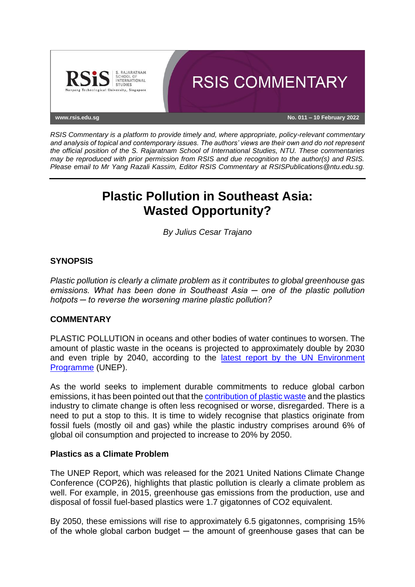

*RSIS Commentary is a platform to provide timely and, where appropriate, policy-relevant commentary and analysis of topical and contemporary issues. The authors' views are their own and do not represent the official position of the S. Rajaratnam School of International Studies, NTU. These commentaries may be reproduced with prior permission from RSIS and due recognition to the author(s) and RSIS. Please email to Mr Yang Razali Kassim, Editor RSIS Commentary at RSISPublications@ntu.edu.sg.*

# **Plastic Pollution in Southeast Asia: Wasted Opportunity?**

*By Julius Cesar Trajano*

# **SYNOPSIS**

*Plastic pollution is clearly a climate problem as it contributes to global greenhouse gas emissions. What has been done in Southeast Asia ─ one of the plastic pollution hotpots ─ to reverse the worsening marine plastic pollution?*

### **COMMENTARY**

PLASTIC POLLUTION in oceans and other bodies of water continues to worsen. The amount of plastic waste in the oceans is projected to approximately double by 2030 and even triple by 2040, according to the [latest report by the UN Environment](https://www.unep.org/resources/pollution-solution-global-assessment-marine-litter-and-plastic-pollution)  [Programme](https://www.unep.org/resources/pollution-solution-global-assessment-marine-litter-and-plastic-pollution) (UNEP).

As the world seeks to implement durable commitments to reduce global carbon emissions, it has been pointed out that th[e contribution of plastic waste](https://blogs.worldbank.org/endpovertyinsouthasia/6-reasons-blame-plastic-pollution-climate-change#:~:text=Marine%20plastic%20pollution%20breaks%20down,by%20negatively%20affecting%20ocean%20organisms.&text=The%20global%20warming%20potential%20of,of%20carbon%20dioxide%20(CO2).) and the plastics industry to climate change is often less recognised or worse, disregarded. There is a need to put a stop to this. It is time to widely recognise that plastics originate from fossil fuels (mostly oil and gas) while the plastic industry comprises around 6% of global oil consumption and projected to increase to 20% by 2050.

### **Plastics as a Climate Problem**

The UNEP Report, which was released for the 2021 United Nations Climate Change Conference (COP26), highlights that plastic pollution is clearly a climate problem as well. For example, in 2015, greenhouse gas emissions from the production, use and disposal of fossil fuel-based plastics were 1.7 gigatonnes of CO2 equivalent.

By 2050, these emissions will rise to approximately 6.5 gigatonnes, comprising 15% of the whole global carbon budget  $-$  the amount of greenhouse gases that can be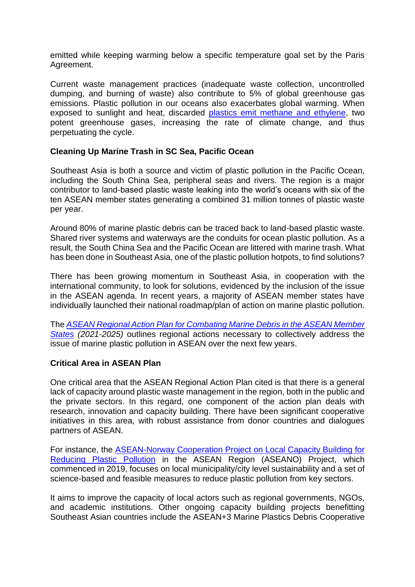emitted while keeping warming below a specific temperature goal set by the Paris Agreement.

Current waste management practices (inadequate waste collection, uncontrolled dumping, and burning of waste) also contribute to 5% of global greenhouse gas emissions. Plastic pollution in our oceans also exacerbates global warming. When exposed to sunlight and heat, discarded [plastics emit methane and ethylene,](https://blogs.worldbank.org/endpovertyinsouthasia/6-reasons-blame-plastic-pollution-climate-change) two potent greenhouse gases, increasing the rate of climate change, and thus perpetuating the cycle.

# **Cleaning Up Marine Trash in SC Sea, Pacific Ocean**

Southeast Asia is both a source and victim of plastic pollution in the Pacific Ocean, including the South China Sea, peripheral seas and rivers. The region is a major contributor to land-based plastic waste leaking into the world's oceans with six of the ten ASEAN member states generating a combined 31 million tonnes of plastic waste per year.

Around 80% of marine plastic debris can be traced back to land-based plastic waste. Shared river systems and waterways are the conduits for ocean plastic pollution. As a result, the South China Sea and the Pacific Ocean are littered with marine trash. What has been done in Southeast Asia, one of the plastic pollution hotpots, to find solutions?

There has been growing momentum in Southeast Asia, in cooperation with the international community, to look for solutions, evidenced by the inclusion of the issue in the ASEAN agenda. In recent years, a majority of ASEAN member states have individually launched their national roadmap/plan of action on marine plastic pollution.

The *[ASEAN Regional Action Plan for Combating Marine Debris in the ASEAN Member](https://asean.org/book/asean-regional-action-plan-for-combating-marine-debris-in-the-asean-member-states-2021-2025-2/)  [States](https://asean.org/book/asean-regional-action-plan-for-combating-marine-debris-in-the-asean-member-states-2021-2025-2/) (2021-2025)* outlines regional actions necessary to collectively address the issue of marine plastic pollution in ASEAN over the next few years.

### **Critical Area in ASEAN Plan**

One critical area that the ASEAN Regional Action Plan cited is that there is a general lack of capacity around plastic waste management in the region, both in the public and the private sectors. In this regard, one component of the action plan deals with research, innovation and capacity building. There have been significant cooperative initiatives in this area, with robust assistance from donor countries and dialogues partners of ASEAN.

For instance, the [ASEAN-Norway Cooperation Project on Local Capacity Building for](https://www.niva.no/en/projectweb/aseano)  [Reducing Plastic Pollution](https://www.niva.no/en/projectweb/aseano) in the ASEAN Region (ASEANO) Project, which commenced in 2019, focuses on local municipality/city level sustainability and a set of science-based and feasible measures to reduce plastic pollution from key sectors.

It aims to improve the capacity of local actors such as regional governments, NGOs, and academic institutions. Other ongoing capacity building projects benefitting Southeast Asian countries include the ASEAN+3 Marine Plastics Debris Cooperative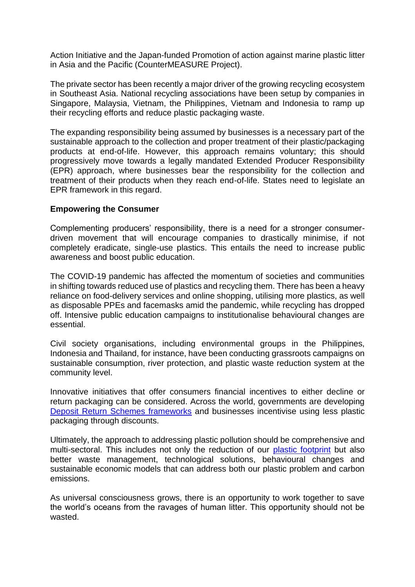Action Initiative and the Japan-funded Promotion of action against marine plastic litter in Asia and the Pacific (CounterMEASURE Project).

The private sector has been recently a major driver of the growing recycling ecosystem in Southeast Asia. National recycling associations have been setup by companies in Singapore, Malaysia, Vietnam, the Philippines, Vietnam and Indonesia to ramp up their recycling efforts and reduce plastic packaging waste.

The expanding responsibility being assumed by businesses is a necessary part of the sustainable approach to the collection and proper treatment of their plastic/packaging products at end-of-life. However, this approach remains voluntary; this should progressively move towards a legally mandated Extended Producer Responsibility (EPR) approach, where businesses bear the responsibility for the collection and treatment of their products when they reach end-of-life. States need to legislate an EPR framework in this regard.

### **Empowering the Consumer**

Complementing producers' responsibility, there is a need for a stronger consumerdriven movement that will encourage companies to drastically minimise, if not completely eradicate, single-use plastics. This entails the need to increase public awareness and boost public education.

The COVID-19 pandemic has affected the momentum of societies and communities in shifting towards reduced use of plastics and recycling them. There has been a heavy reliance on food-delivery services and online shopping, utilising more plastics, as well as disposable PPEs and facemasks amid the pandemic, while recycling has dropped off. Intensive public education campaigns to institutionalise behavioural changes are essential.

Civil society organisations, including environmental groups in the Philippines, Indonesia and Thailand, for instance, have been conducting grassroots campaigns on sustainable consumption, river protection, and plastic waste reduction system at the community level.

Innovative initiatives that offer consumers financial incentives to either decline or return packaging can be considered. Across the world, governments are developing [Deposit Return Schemes frameworks](https://www.sustainability.com/thinking/engaging-consumers-to-reduce-and-recycle/) and businesses incentivise using less plastic packaging through discounts.

Ultimately, the approach to addressing plastic pollution should be comprehensive and multi-sectoral. This includes not only the reduction of our [plastic footprint](https://www.wwf.org.uk/updates/ten-tips-reduce-your-plastic-footprint) but also better waste management, technological solutions, behavioural changes and sustainable economic models that can address both our plastic problem and carbon emissions.

As universal consciousness grows, there is an opportunity to work together to save the world's oceans from the ravages of human litter. This opportunity should not be wasted.